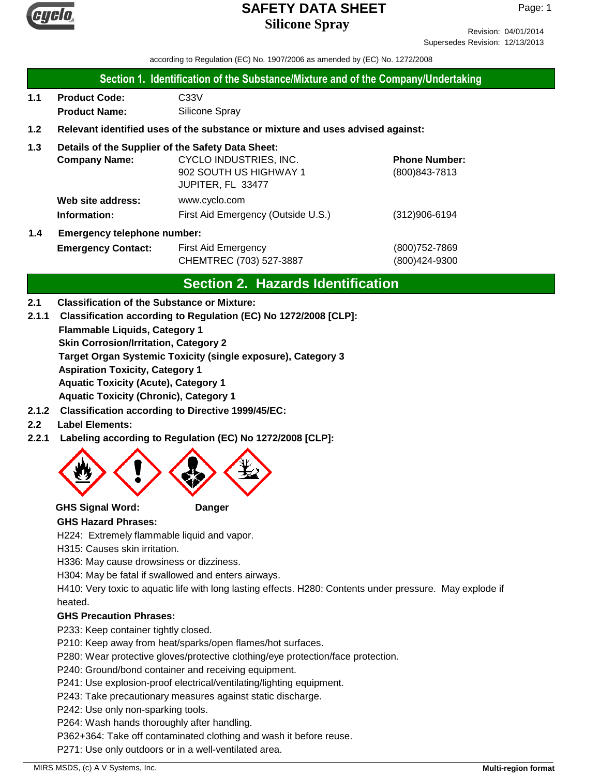

Revision: 04/01/2014 Supersedes Revision: 12/13/2013

according to Regulation (EC) No. 1907/2006 as amended by (EC) No. 1272/2008

### **Section 1. Identification of the Substance/Mixture and of the Company/Undertaking**

**1.1 Product Code:** C33V **Product Name:** Silicone Spray

# **1.2 Relevant identified uses of the substance or mixture and uses advised against:**

# **1.3 Details of the Supplier of the Safety Data Sheet:**

|                                           | <b>Company Name:</b> | CYCLO INDUSTRIES, INC.             | <b>Phone Number:</b> |
|-------------------------------------------|----------------------|------------------------------------|----------------------|
|                                           |                      | 902 SOUTH US HIGHWAY 1             | $(800)843 - 7813$    |
|                                           |                      | JUPITER, FL 33477                  |                      |
|                                           | Web site address:    | www.cyclo.com                      |                      |
|                                           | Information:         | First Aid Emergency (Outside U.S.) | $(312)906 - 6194$    |
| <b>Emergency telephone number:</b><br>1.4 |                      |                                    |                      |

# **Emergency Contact:** First Aid Emergency **Emergency** (800)752-7869 CHEMTREC (703) 527-3887 (800)424-9300

# **Section 2. Hazards Identification**

### **2.1 Classification of the Substance or Mixture:**

**2.1.1 Classification according to Regulation (EC) No 1272/2008 [CLP]:**

**Flammable Liquids, Category 1**

**Skin Corrosion/Irritation, Category 2**

**Target Organ Systemic Toxicity (single exposure), Category 3**

**Aspiration Toxicity, Category 1**

**Aquatic Toxicity (Acute), Category 1**

**Aquatic Toxicity (Chronic), Category 1**

- **2.1.2 Classification according to Directive 1999/45/EC:**
- **2.2 Label Elements:**
- **2.2.1 Labeling according to Regulation (EC) No 1272/2008 [CLP]:**



**GHS Signal Word: Danger**

# **GHS Hazard Phrases:**

H224: Extremely flammable liquid and vapor.

H315: Causes skin irritation.

H336: May cause drowsiness or dizziness.

H304: May be fatal if swallowed and enters airways.

H410: Very toxic to aquatic life with long lasting effects. H280: Contents under pressure. May explode if heated.

# **GHS Precaution Phrases:**

P233: Keep container tightly closed.

P210: Keep away from heat/sparks/open flames/hot surfaces.

P280: Wear protective gloves/protective clothing/eye protection/face protection.

P240: Ground/bond container and receiving equipment.

P241: Use explosion-proof electrical/ventilating/lighting equipment.

P243: Take precautionary measures against static discharge.

P242: Use only non-sparking tools.

P264: Wash hands thoroughly after handling.

P362+364: Take off contaminated clothing and wash it before reuse.

P271: Use only outdoors or in a well-ventilated area.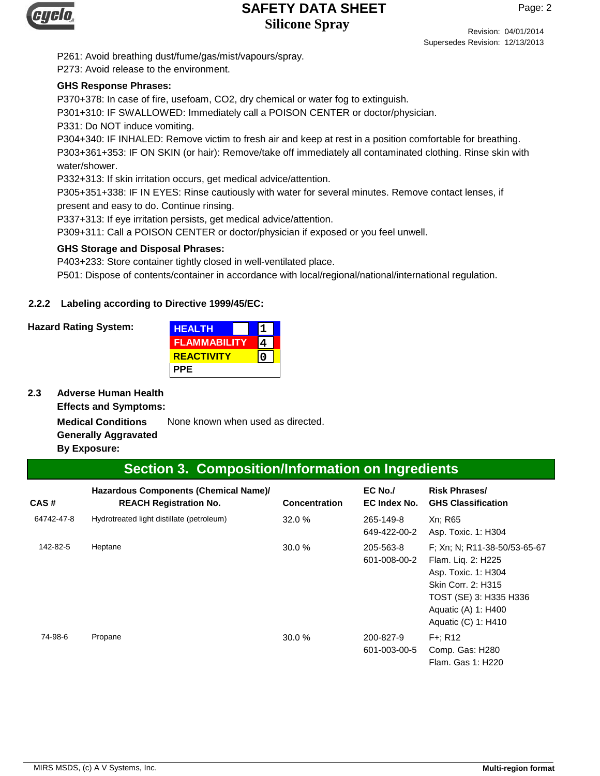

Revision: 04/01/2014 Supersedes Revision: 12/13/2013

P261: Avoid breathing dust/fume/gas/mist/vapours/spray.

P273: Avoid release to the environment.

#### **GHS Response Phrases:**

P370+378: In case of fire, usefoam, CO2, dry chemical or water fog to extinguish.

P301+310: IF SWALLOWED: Immediately call a POISON CENTER or doctor/physician.

P331: Do NOT induce vomiting.

P304+340: IF INHALED: Remove victim to fresh air and keep at rest in a position comfortable for breathing. P303+361+353: IF ON SKIN (or hair): Remove/take off immediately all contaminated clothing. Rinse skin with water/shower.

P332+313: If skin irritation occurs, get medical advice/attention.

P305+351+338: IF IN EYES: Rinse cautiously with water for several minutes. Remove contact lenses, if present and easy to do. Continue rinsing.

P337+313: If eye irritation persists, get medical advice/attention.

P309+311: Call a POISON CENTER or doctor/physician if exposed or you feel unwell.

#### **GHS Storage and Disposal Phrases:**

P403+233: Store container tightly closed in well-ventilated place.

P501: Dispose of contents/container in accordance with local/regional/national/international regulation.

### **2.2.2 Labeling according to Directive 1999/45/EC:**

#### **Hazard Rating System:**

| <b>HEALTH</b>       |  |
|---------------------|--|
| <b>FLAMMABILITY</b> |  |
| <b>REACTIVITY</b>   |  |
| <b>PPE</b>          |  |

**2.3 Adverse Human Health**

**Effects and Symptoms:**

**Medical Conditions** None known when used as directed. **Generally Aggravated**

**By Exposure:**

# **Section 3. Composition/Information on Ingredients**

| CAS#       | Hazardous Components (Chemical Name)/<br><b>REACH Registration No.</b> | <b>Concentration</b> | $EC$ No./<br>EC Index No. | <b>Risk Phrases/</b><br><b>GHS Classification</b>                                                                                                                       |
|------------|------------------------------------------------------------------------|----------------------|---------------------------|-------------------------------------------------------------------------------------------------------------------------------------------------------------------------|
| 64742-47-8 | Hydrotreated light distillate (petroleum)                              | 32.0%                | 265-149-8<br>649-422-00-2 | Xn: R65<br>Asp. Toxic. 1: H304                                                                                                                                          |
| 142-82-5   | Heptane                                                                | 30.0 %               | 205-563-8<br>601-008-00-2 | F; Xn; N; R11-38-50/53-65-67<br>Flam. Lig. 2: H225<br>Asp. Toxic. 1: H304<br>Skin Corr. 2: H315<br>TOST (SE) 3: H335 H336<br>Aquatic (A) 1: H400<br>Aquatic (C) 1: H410 |
| 74-98-6    | Propane                                                                | 30.0 %               | 200-827-9<br>601-003-00-5 | $F +: R12$<br>Comp. Gas: H280<br>Flam, Gas 1: H220                                                                                                                      |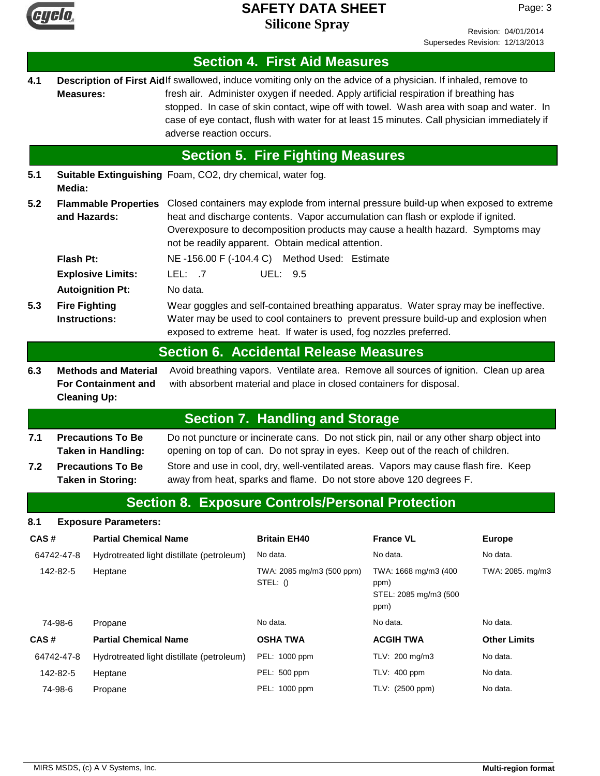

Revision: 04/01/2014 Supersedes Revision: 12/13/2013

|                                                                                                                                                                                                                                              |                                                                                                                                                                                                                                                   |                              |                                                                                                                                                                                                                                                               | <b>Section 4. First Aid Measures</b>                                                                                                                                                                                                                                                                                                                                                                |                                                               |                     |
|----------------------------------------------------------------------------------------------------------------------------------------------------------------------------------------------------------------------------------------------|---------------------------------------------------------------------------------------------------------------------------------------------------------------------------------------------------------------------------------------------------|------------------------------|---------------------------------------------------------------------------------------------------------------------------------------------------------------------------------------------------------------------------------------------------------------|-----------------------------------------------------------------------------------------------------------------------------------------------------------------------------------------------------------------------------------------------------------------------------------------------------------------------------------------------------------------------------------------------------|---------------------------------------------------------------|---------------------|
| 4.1                                                                                                                                                                                                                                          | <b>Measures:</b>                                                                                                                                                                                                                                  |                              | adverse reaction occurs.                                                                                                                                                                                                                                      | Description of First Aidlf swallowed, induce vomiting only on the advice of a physician. If inhaled, remove to<br>fresh air. Administer oxygen if needed. Apply artificial respiration if breathing has<br>stopped. In case of skin contact, wipe off with towel. Wash area with soap and water. In<br>case of eye contact, flush with water for at least 15 minutes. Call physician immediately if |                                                               |                     |
|                                                                                                                                                                                                                                              |                                                                                                                                                                                                                                                   |                              |                                                                                                                                                                                                                                                               | <b>Section 5. Fire Fighting Measures</b>                                                                                                                                                                                                                                                                                                                                                            |                                                               |                     |
| 5.1                                                                                                                                                                                                                                          | Media:                                                                                                                                                                                                                                            |                              | Suitable Extinguishing Foam, CO2, dry chemical, water fog.                                                                                                                                                                                                    |                                                                                                                                                                                                                                                                                                                                                                                                     |                                                               |                     |
| 5.2                                                                                                                                                                                                                                          | and Hazards:                                                                                                                                                                                                                                      | <b>Flammable Properties</b>  |                                                                                                                                                                                                                                                               | Closed containers may explode from internal pressure build-up when exposed to extreme<br>heat and discharge contents. Vapor accumulation can flash or explode if ignited.<br>Overexposure to decomposition products may cause a health hazard. Symptoms may<br>not be readily apparent. Obtain medical attention.                                                                                   |                                                               |                     |
|                                                                                                                                                                                                                                              | Flash Pt:                                                                                                                                                                                                                                         |                              |                                                                                                                                                                                                                                                               | NE-156.00 F (-104.4 C) Method Used: Estimate                                                                                                                                                                                                                                                                                                                                                        |                                                               |                     |
|                                                                                                                                                                                                                                              |                                                                                                                                                                                                                                                   | <b>Explosive Limits:</b>     | LEL: $.7$                                                                                                                                                                                                                                                     | UEL: 9.5                                                                                                                                                                                                                                                                                                                                                                                            |                                                               |                     |
| 5.3                                                                                                                                                                                                                                          | <b>Fire Fighting</b><br><b>Instructions:</b>                                                                                                                                                                                                      | <b>Autoignition Pt:</b>      | No data.<br>Wear goggles and self-contained breathing apparatus. Water spray may be ineffective.<br>Water may be used to cool containers to prevent pressure build-up and explosion when<br>exposed to extreme heat. If water is used, fog nozzles preferred. |                                                                                                                                                                                                                                                                                                                                                                                                     |                                                               |                     |
|                                                                                                                                                                                                                                              |                                                                                                                                                                                                                                                   |                              |                                                                                                                                                                                                                                                               | <b>Section 6. Accidental Release Measures</b>                                                                                                                                                                                                                                                                                                                                                       |                                                               |                     |
| 6.3                                                                                                                                                                                                                                          | Avoid breathing vapors. Ventilate area. Remove all sources of ignition. Clean up area<br><b>Methods and Material</b><br><b>For Containment and</b><br>with absorbent material and place in closed containers for disposal.<br><b>Cleaning Up:</b> |                              |                                                                                                                                                                                                                                                               |                                                                                                                                                                                                                                                                                                                                                                                                     |                                                               |                     |
|                                                                                                                                                                                                                                              |                                                                                                                                                                                                                                                   |                              |                                                                                                                                                                                                                                                               | <b>Section 7. Handling and Storage</b>                                                                                                                                                                                                                                                                                                                                                              |                                                               |                     |
| <b>Precautions To Be</b><br>Do not puncture or incinerate cans. Do not stick pin, nail or any other sharp object into<br>7.1<br>opening on top of can. Do not spray in eyes. Keep out of the reach of children.<br><b>Taken in Handling:</b> |                                                                                                                                                                                                                                                   |                              |                                                                                                                                                                                                                                                               |                                                                                                                                                                                                                                                                                                                                                                                                     |                                                               |                     |
| 7.2                                                                                                                                                                                                                                          | <b>Precautions To Be</b><br>Store and use in cool, dry, well-ventilated areas. Vapors may cause flash fire. Keep<br>away from heat, sparks and flame. Do not store above 120 degrees F.<br><b>Taken in Storing:</b>                               |                              |                                                                                                                                                                                                                                                               |                                                                                                                                                                                                                                                                                                                                                                                                     |                                                               |                     |
|                                                                                                                                                                                                                                              |                                                                                                                                                                                                                                                   |                              |                                                                                                                                                                                                                                                               | <b>Section 8. Exposure Controls/Personal Protection</b>                                                                                                                                                                                                                                                                                                                                             |                                                               |                     |
| 8.1                                                                                                                                                                                                                                          |                                                                                                                                                                                                                                                   | <b>Exposure Parameters:</b>  |                                                                                                                                                                                                                                                               |                                                                                                                                                                                                                                                                                                                                                                                                     |                                                               |                     |
| CAS#                                                                                                                                                                                                                                         |                                                                                                                                                                                                                                                   | <b>Partial Chemical Name</b> |                                                                                                                                                                                                                                                               | <b>Britain EH40</b>                                                                                                                                                                                                                                                                                                                                                                                 | <b>France VL</b>                                              | <b>Europe</b>       |
|                                                                                                                                                                                                                                              | 64742-47-8                                                                                                                                                                                                                                        |                              | Hydrotreated light distillate (petroleum)                                                                                                                                                                                                                     | No data.                                                                                                                                                                                                                                                                                                                                                                                            | No data.                                                      | No data.            |
|                                                                                                                                                                                                                                              | 142-82-5                                                                                                                                                                                                                                          | Heptane                      |                                                                                                                                                                                                                                                               | TWA: 2085 mg/m3 (500 ppm)<br>STEL: $()$                                                                                                                                                                                                                                                                                                                                                             | TWA: 1668 mg/m3 (400<br>ppm)<br>STEL: 2085 mg/m3 (500<br>ppm) | TWA: 2085. mg/m3    |
|                                                                                                                                                                                                                                              | 74-98-6                                                                                                                                                                                                                                           | Propane                      |                                                                                                                                                                                                                                                               | No data.                                                                                                                                                                                                                                                                                                                                                                                            | No data.                                                      | No data.            |
| CAS#                                                                                                                                                                                                                                         |                                                                                                                                                                                                                                                   | <b>Partial Chemical Name</b> |                                                                                                                                                                                                                                                               | <b>OSHA TWA</b>                                                                                                                                                                                                                                                                                                                                                                                     | <b>ACGIH TWA</b>                                              | <b>Other Limits</b> |
|                                                                                                                                                                                                                                              | 64742-47-8                                                                                                                                                                                                                                        |                              | Hydrotreated light distillate (petroleum)                                                                                                                                                                                                                     | PEL: 1000 ppm                                                                                                                                                                                                                                                                                                                                                                                       | TLV: 200 mg/m3                                                | No data.            |
|                                                                                                                                                                                                                                              | 142-82-5                                                                                                                                                                                                                                          | Heptane                      |                                                                                                                                                                                                                                                               | PEL: 500 ppm                                                                                                                                                                                                                                                                                                                                                                                        | TLV: 400 ppm                                                  | No data.            |
|                                                                                                                                                                                                                                              | 74-98-6                                                                                                                                                                                                                                           | Propane                      |                                                                                                                                                                                                                                                               | PEL: 1000 ppm                                                                                                                                                                                                                                                                                                                                                                                       | TLV: (2500 ppm)                                               | No data.            |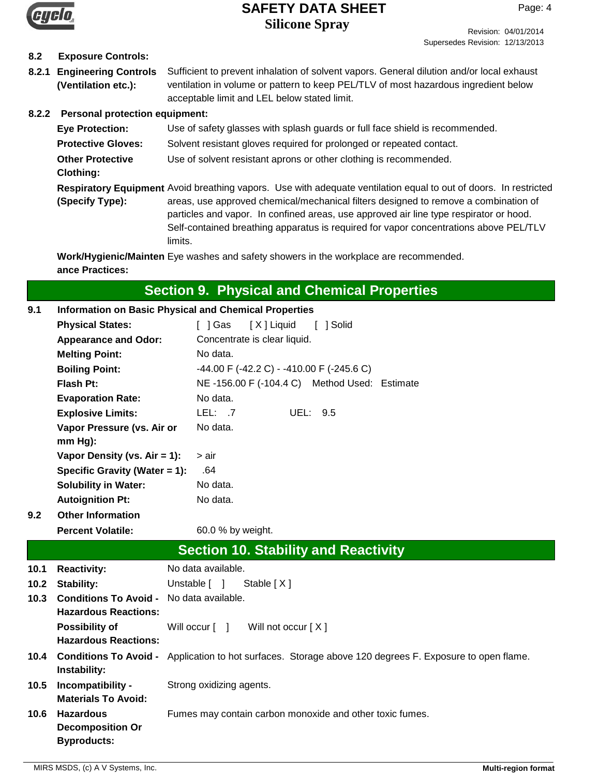

Revision: 04/01/2014 Supersedes Revision: 12/13/2013

# **8.2 Exposure Controls:**

**8.2.1 Engineering Controls** Sufficient to prevent inhalation of solvent vapors. General dilution and/or local exhaust ventilation in volume or pattern to keep PEL/TLV of most hazardous ingredient below acceptable limit and LEL below stated limit. **(Ventilation etc.):**

# **8.2.2 Personal protection equipment:**

limits.

| <b>Eye Protection:</b>                      | Use of safety glasses with splash guards or full face shield is recommended.                                                                                                                                                                                                                                                                                                               |
|---------------------------------------------|--------------------------------------------------------------------------------------------------------------------------------------------------------------------------------------------------------------------------------------------------------------------------------------------------------------------------------------------------------------------------------------------|
| <b>Protective Gloves:</b>                   | Solvent resistant gloves required for prolonged or repeated contact.                                                                                                                                                                                                                                                                                                                       |
| <b>Other Protective</b><br><b>Clothing:</b> | Use of solvent resistant aprons or other clothing is recommended.                                                                                                                                                                                                                                                                                                                          |
| (Specify Type):                             | Respiratory Equipment Avoid breathing vapors. Use with adequate ventilation equal to out of doors. In restricted<br>areas, use approved chemical/mechanical filters designed to remove a combination of<br>particles and vapor. In confined areas, use approved air line type respirator or hood.<br>Self-contained breathing apparatus is required for vapor concentrations above PEL/TLV |

**Work/Hygienic/Mainten** Eye washes and safety showers in the workplace are recommended. **ance Practices:**

# **Section 9. Physical and Chemical Properties**

#### **Physical States:** [ ] Gas [ X ] Liquid [ ] Solid **Melting Point:** No data. **Boiling Point:** -44.00 F (-42.2 C) - -410.00 F (-245.6 C) **Flash Pt:** NE -156.00 F (-104.4 C) Method Used: Estimate **Explosive Limits:** LEL: .7 UEL: 9.5 **Vapor Pressure (vs. Air or mm Hg):** No data. **Vapor Density (vs. Air = 1):** > air **Evaporation Rate:** No data. Appearance and Odor: Concentrate is clear liquid. **9.1 Information on Basic Physical and Chemical Properties Specific Gravity (Water = 1):** .64 **Solubility in Water:** No data. **Autoignition Pt:** No data. **Percent Volatile:** 60.0 % by weight. **9.2 Other Information 10.4 Conditions To Avoid -10.5 10.6 10.1 10.2 10.3 Conditions To Avoid -** No data available. **Section 10. Stability and Reactivity** Application to hot surfaces. Storage above 120 degrees F. Exposure to open flame. **Instability:** Unstable [ ] Stable [ X ] **Strong oxidizing agents. Materials To Avoid:** Fumes may contain carbon monoxide and other toxic fumes. **Decomposition Or Byproducts: Possibility of** Will occur [ ] Will not occur [ X ] **Hazardous Reactions: Hazardous Reactions: Reactivity:** No data available.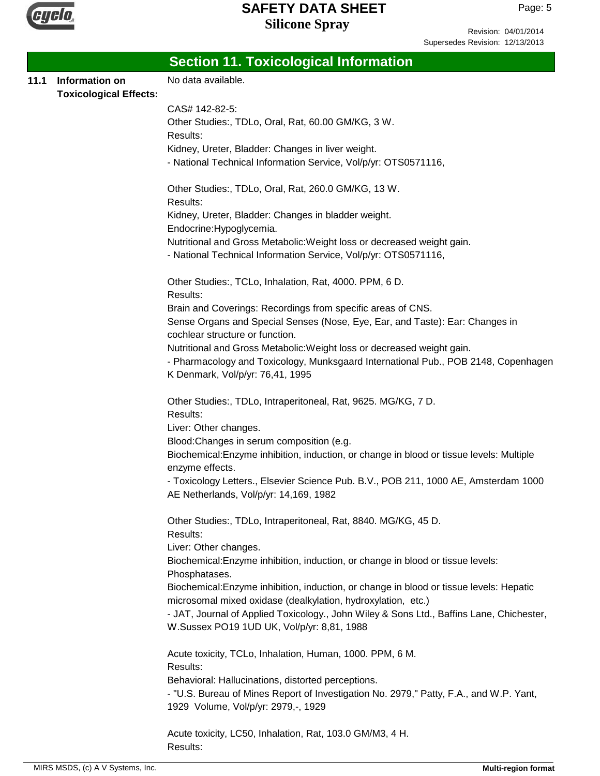

Revision: 04/01/2014 Supersedes Revision: 12/13/2013

|      |                                                 | <b>Section 11. Toxicological Information</b>                                                                                                                                   |
|------|-------------------------------------------------|--------------------------------------------------------------------------------------------------------------------------------------------------------------------------------|
| 11.1 | Information on<br><b>Toxicological Effects:</b> | No data available.                                                                                                                                                             |
|      |                                                 | CAS# 142-82-5:                                                                                                                                                                 |
|      |                                                 | Other Studies:, TDLo, Oral, Rat, 60.00 GM/KG, 3 W.<br>Results:                                                                                                                 |
|      |                                                 | Kidney, Ureter, Bladder: Changes in liver weight.                                                                                                                              |
|      |                                                 | - National Technical Information Service, Vol/p/yr: OTS0571116,                                                                                                                |
|      |                                                 | Other Studies:, TDLo, Oral, Rat, 260.0 GM/KG, 13 W.<br>Results:                                                                                                                |
|      |                                                 | Kidney, Ureter, Bladder: Changes in bladder weight.<br>Endocrine: Hypoglycemia.                                                                                                |
|      |                                                 | Nutritional and Gross Metabolic: Weight loss or decreased weight gain.                                                                                                         |
|      |                                                 | - National Technical Information Service, Vol/p/yr: OTS0571116,                                                                                                                |
|      |                                                 | Other Studies:, TCLo, Inhalation, Rat, 4000. PPM, 6 D.<br>Results:                                                                                                             |
|      |                                                 | Brain and Coverings: Recordings from specific areas of CNS.<br>Sense Organs and Special Senses (Nose, Eye, Ear, and Taste): Ear: Changes in<br>cochlear structure or function. |
|      |                                                 | Nutritional and Gross Metabolic: Weight loss or decreased weight gain.                                                                                                         |
|      |                                                 | - Pharmacology and Toxicology, Munksgaard International Pub., POB 2148, Copenhagen<br>K Denmark, Vol/p/yr: 76,41, 1995                                                         |
|      |                                                 | Other Studies:, TDLo, Intraperitoneal, Rat, 9625. MG/KG, 7 D.<br>Results:                                                                                                      |
|      |                                                 | Liver: Other changes.                                                                                                                                                          |
|      |                                                 | Blood: Changes in serum composition (e.g.                                                                                                                                      |
|      |                                                 | Biochemical: Enzyme inhibition, induction, or change in blood or tissue levels: Multiple<br>enzyme effects.                                                                    |
|      |                                                 | - Toxicology Letters., Elsevier Science Pub. B.V., POB 211, 1000 AE, Amsterdam 1000<br>AE Netherlands, Vol/p/yr: 14,169, 1982                                                  |
|      |                                                 | Other Studies:, TDLo, Intraperitoneal, Rat, 8840. MG/KG, 45 D.<br>Results:                                                                                                     |
|      |                                                 | Liver: Other changes.                                                                                                                                                          |
|      |                                                 | Biochemical: Enzyme inhibition, induction, or change in blood or tissue levels:<br>Phosphatases.                                                                               |
|      |                                                 | Biochemical: Enzyme inhibition, induction, or change in blood or tissue levels: Hepatic<br>microsomal mixed oxidase (dealkylation, hydroxylation, etc.)                        |
|      |                                                 | - JAT, Journal of Applied Toxicology., John Wiley & Sons Ltd., Baffins Lane, Chichester,<br>W.Sussex PO19 1UD UK, Vol/p/yr: 8,81, 1988                                         |
|      |                                                 | Acute toxicity, TCLo, Inhalation, Human, 1000. PPM, 6 M.<br>Results:                                                                                                           |
|      |                                                 | Behavioral: Hallucinations, distorted perceptions.                                                                                                                             |
|      |                                                 | - "U.S. Bureau of Mines Report of Investigation No. 2979," Patty, F.A., and W.P. Yant,                                                                                         |
|      |                                                 | 1929 Volume, Vol/p/yr: 2979,-, 1929                                                                                                                                            |
|      |                                                 | Acute toxicity, LC50, Inhalation, Rat, 103.0 GM/M3, 4 H.<br>Results:                                                                                                           |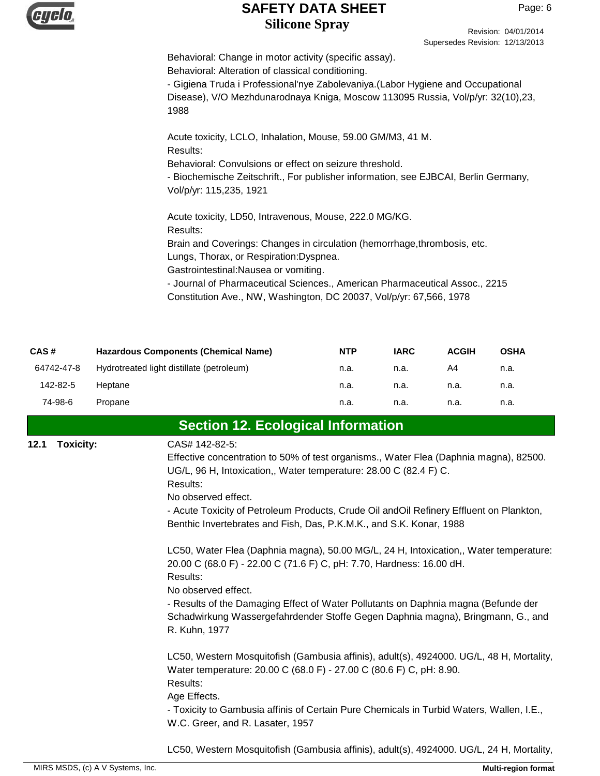

Revision: 04/01/2014 Supersedes Revision: 12/13/2013

Behavioral: Change in motor activity (specific assay). Behavioral: Alteration of classical conditioning.

- Gigiena Truda i Professional'nye Zabolevaniya.(Labor Hygiene and Occupational Disease), V/O Mezhdunarodnaya Kniga, Moscow 113095 Russia, Vol/p/yr: 32(10),23, 1988

Acute toxicity, LCLO, Inhalation, Mouse, 59.00 GM/M3, 41 M. Results: Behavioral: Convulsions or effect on seizure threshold. - Biochemische Zeitschrift., For publisher information, see EJBCAI, Berlin Germany,

Vol/p/yr: 115,235, 1921

Acute toxicity, LD50, Intravenous, Mouse, 222.0 MG/KG. Results: Brain and Coverings: Changes in circulation (hemorrhage,thrombosis, etc. Lungs, Thorax, or Respiration:Dyspnea. Gastrointestinal:Nausea or vomiting. - Journal of Pharmaceutical Sciences., American Pharmaceutical Assoc., 2215 Constitution Ave., NW, Washington, DC 20037, Vol/p/yr: 67,566, 1978

| CAS#       | <b>Hazardous Components (Chemical Name)</b> | <b>NTP</b> | <b>IARC</b> | <b>ACGIH</b> | <b>OSHA</b> |
|------------|---------------------------------------------|------------|-------------|--------------|-------------|
| 64742-47-8 | Hydrotreated light distillate (petroleum)   | n.a.       | n.a.        | A4           | n.a.        |
| 142-82-5   | Heptane                                     | n.a.       | n.a.        | n.a.         | n.a.        |
| 74-98-6    | Propane                                     | n.a.       | n.a.        | n.a.         | n.a.        |

# **Section 12. Ecological Information**

**Toxicity:**

#### **12.1** CAS# 142-82-5:

Effective concentration to 50% of test organisms., Water Flea (Daphnia magna), 82500. UG/L, 96 H, Intoxication,, Water temperature: 28.00 C (82.4 F) C. Results:

No observed effect.

- Acute Toxicity of Petroleum Products, Crude Oil andOil Refinery Effluent on Plankton, Benthic Invertebrates and Fish, Das, P.K.M.K., and S.K. Konar, 1988

LC50, Water Flea (Daphnia magna), 50.00 MG/L, 24 H, Intoxication,, Water temperature: 20.00 C (68.0 F) - 22.00 C (71.6 F) C, pH: 7.70, Hardness: 16.00 dH. Results:

No observed effect.

- Results of the Damaging Effect of Water Pollutants on Daphnia magna (Befunde der Schadwirkung Wassergefahrdender Stoffe Gegen Daphnia magna), Bringmann, G., and R. Kuhn, 1977

LC50, Western Mosquitofish (Gambusia affinis), adult(s), 4924000. UG/L, 48 H, Mortality, Water temperature: 20.00 C (68.0 F) - 27.00 C (80.6 F) C, pH: 8.90. Results:

Age Effects.

- Toxicity to Gambusia affinis of Certain Pure Chemicals in Turbid Waters, Wallen, I.E., W.C. Greer, and R. Lasater, 1957

LC50, Western Mosquitofish (Gambusia affinis), adult(s), 4924000. UG/L, 24 H, Mortality,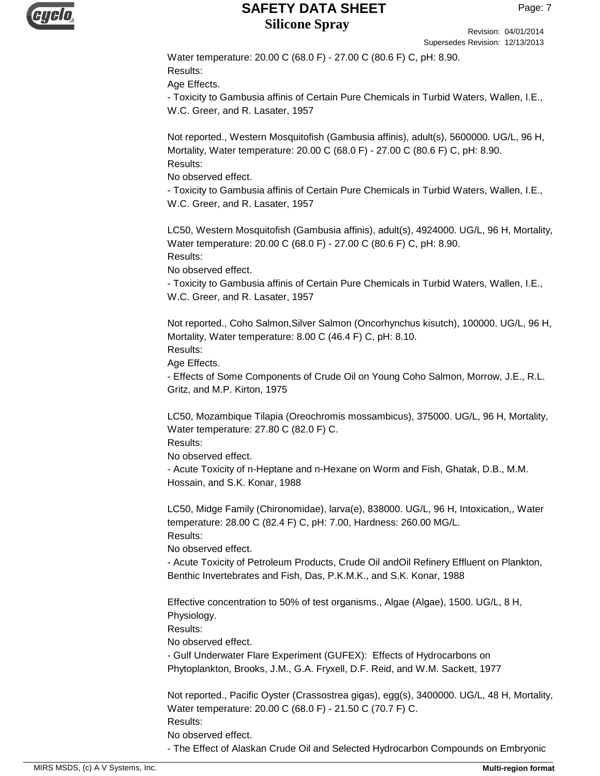

Revision: 04/01/2014 Supersedes Revision: 12/13/2013

Water temperature: 20.00 C (68.0 F) - 27.00 C (80.6 F) C, pH: 8.90. Results:

Age Effects.

- Toxicity to Gambusia affinis of Certain Pure Chemicals in Turbid Waters, Wallen, I.E., W.C. Greer, and R. Lasater, 1957

Not reported., Western Mosquitofish (Gambusia affinis), adult(s), 5600000. UG/L, 96 H, Mortality, Water temperature: 20.00 C (68.0 F) - 27.00 C (80.6 F) C, pH: 8.90. Results:

No observed effect.

- Toxicity to Gambusia affinis of Certain Pure Chemicals in Turbid Waters, Wallen, I.E., W.C. Greer, and R. Lasater, 1957

LC50, Western Mosquitofish (Gambusia affinis), adult(s), 4924000. UG/L, 96 H, Mortality, Water temperature: 20.00 C (68.0 F) - 27.00 C (80.6 F) C, pH: 8.90. Results:

No observed effect.

- Toxicity to Gambusia affinis of Certain Pure Chemicals in Turbid Waters, Wallen, I.E., W.C. Greer, and R. Lasater, 1957

Not reported., Coho Salmon,Silver Salmon (Oncorhynchus kisutch), 100000. UG/L, 96 H, Mortality, Water temperature: 8.00 C (46.4 F) C, pH: 8.10.

Results:

Age Effects.

- Effects of Some Components of Crude Oil on Young Coho Salmon, Morrow, J.E., R.L. Gritz, and M.P. Kirton, 1975

LC50, Mozambique Tilapia (Oreochromis mossambicus), 375000. UG/L, 96 H, Mortality, Water temperature: 27.80 C (82.0 F) C.

Results:

No observed effect.

- Acute Toxicity of n-Heptane and n-Hexane on Worm and Fish, Ghatak, D.B., M.M. Hossain, and S.K. Konar, 1988

LC50, Midge Family (Chironomidae), larva(e), 838000. UG/L, 96 H, Intoxication,, Water temperature: 28.00 C (82.4 F) C, pH: 7.00, Hardness: 260.00 MG/L. Results:

No observed effect.

- Acute Toxicity of Petroleum Products, Crude Oil andOil Refinery Effluent on Plankton, Benthic Invertebrates and Fish, Das, P.K.M.K., and S.K. Konar, 1988

Effective concentration to 50% of test organisms., Algae (Algae), 1500. UG/L, 8 H, Physiology.

Results:

No observed effect.

- Gulf Underwater Flare Experiment (GUFEX): Effects of Hydrocarbons on Phytoplankton, Brooks, J.M., G.A. Fryxell, D.F. Reid, and W.M. Sackett, 1977

Not reported., Pacific Oyster (Crassostrea gigas), egg(s), 3400000. UG/L, 48 H, Mortality, Water temperature: 20.00 C (68.0 F) - 21.50 C (70.7 F) C. Results:

No observed effect.

- The Effect of Alaskan Crude Oil and Selected Hydrocarbon Compounds on Embryonic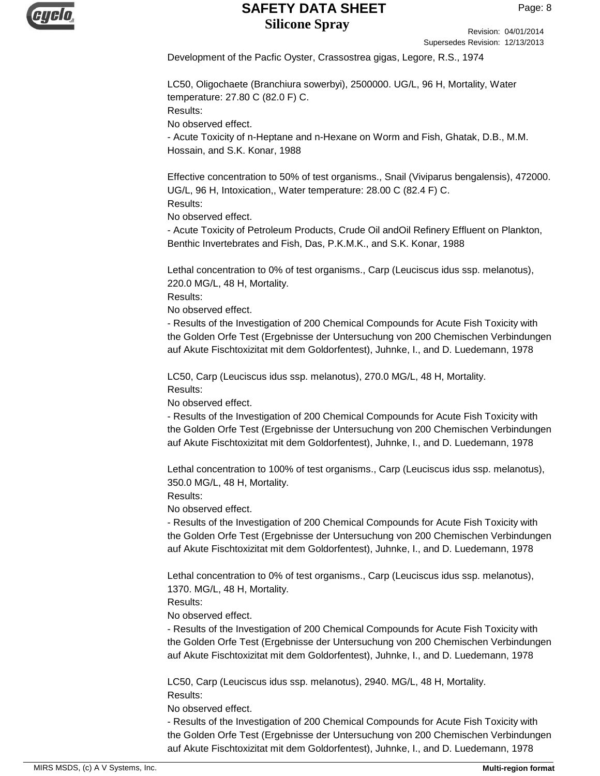

Revision: 04/01/2014 Supersedes Revision: 12/13/2013

Development of the Pacfic Oyster, Crassostrea gigas, Legore, R.S., 1974

LC50, Oligochaete (Branchiura sowerbyi), 2500000. UG/L, 96 H, Mortality, Water temperature: 27.80 C (82.0 F) C. Results:

No observed effect.

- Acute Toxicity of n-Heptane and n-Hexane on Worm and Fish, Ghatak, D.B., M.M. Hossain, and S.K. Konar, 1988

Effective concentration to 50% of test organisms., Snail (Viviparus bengalensis), 472000. UG/L, 96 H, Intoxication,, Water temperature: 28.00 C (82.4 F) C. Results:

No observed effect.

- Acute Toxicity of Petroleum Products, Crude Oil andOil Refinery Effluent on Plankton, Benthic Invertebrates and Fish, Das, P.K.M.K., and S.K. Konar, 1988

Lethal concentration to 0% of test organisms., Carp (Leuciscus idus ssp. melanotus), 220.0 MG/L, 48 H, Mortality.

Results:

No observed effect.

- Results of the Investigation of 200 Chemical Compounds for Acute Fish Toxicity with the Golden Orfe Test (Ergebnisse der Untersuchung von 200 Chemischen Verbindungen auf Akute Fischtoxizitat mit dem Goldorfentest), Juhnke, I., and D. Luedemann, 1978

LC50, Carp (Leuciscus idus ssp. melanotus), 270.0 MG/L, 48 H, Mortality. Results:

No observed effect.

- Results of the Investigation of 200 Chemical Compounds for Acute Fish Toxicity with the Golden Orfe Test (Ergebnisse der Untersuchung von 200 Chemischen Verbindungen auf Akute Fischtoxizitat mit dem Goldorfentest), Juhnke, I., and D. Luedemann, 1978

Lethal concentration to 100% of test organisms., Carp (Leuciscus idus ssp. melanotus), 350.0 MG/L, 48 H, Mortality.

Results:

No observed effect.

- Results of the Investigation of 200 Chemical Compounds for Acute Fish Toxicity with the Golden Orfe Test (Ergebnisse der Untersuchung von 200 Chemischen Verbindungen auf Akute Fischtoxizitat mit dem Goldorfentest), Juhnke, I., and D. Luedemann, 1978

Lethal concentration to 0% of test organisms., Carp (Leuciscus idus ssp. melanotus), 1370. MG/L, 48 H, Mortality.

Results:

No observed effect.

- Results of the Investigation of 200 Chemical Compounds for Acute Fish Toxicity with the Golden Orfe Test (Ergebnisse der Untersuchung von 200 Chemischen Verbindungen auf Akute Fischtoxizitat mit dem Goldorfentest), Juhnke, I., and D. Luedemann, 1978

LC50, Carp (Leuciscus idus ssp. melanotus), 2940. MG/L, 48 H, Mortality. Results:

No observed effect.

- Results of the Investigation of 200 Chemical Compounds for Acute Fish Toxicity with the Golden Orfe Test (Ergebnisse der Untersuchung von 200 Chemischen Verbindungen auf Akute Fischtoxizitat mit dem Goldorfentest), Juhnke, I., and D. Luedemann, 1978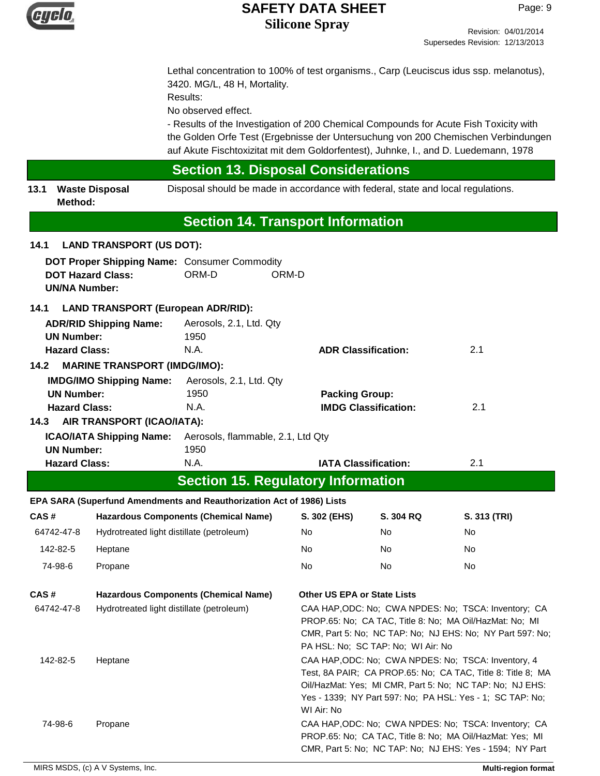

Lethal concentration to 100% of test organisms., Carp (Leuciscus idus ssp. melanotus), 3420. MG/L, 48 H, Mortality.

Results:

No observed effect.

- Results of the Investigation of 200 Chemical Compounds for Acute Fish Toxicity with the Golden Orfe Test (Ergebnisse der Untersuchung von 200 Chemischen Verbindungen auf Akute Fischtoxizitat mit dem Goldorfentest), Juhnke, I., and D. Luedemann, 1978

# **Section 13. Disposal Considerations**

**13.1 Waste Disposal** Disposal should be made in accordance with federal, state and local regulations. **Method:**

# **Section 14. Transport Information**

# **DOT Proper Shipping Name:** Consumer Commodity **DOT Hazard Class:** ORM-D ORM-D **UN/NA Number: 14.1 LAND TRANSPORT (US DOT): ADR/RID Shipping Name:** Aerosols, 2.1, Ltd. Qty **14.1 LAND TRANSPORT (European ADR/RID): UN Number:** 1950 **Hazard Class:** N.A. **ADR Classification:** 2.1 **IMDG/IMO Shipping Name:** Aerosols, 2.1, Ltd. Qty **14.2 MARINE TRANSPORT (IMDG/IMO): UN Number:** 1950 **Packing Group: Hazard Class:** N.A. **IMDG Classification:** 2.1 **ICAO/IATA Shipping Name:** Aerosols, flammable, 2.1, Ltd Qty **14.3 AIR TRANSPORT (ICAO/IATA): UN Number:** 1950 **Hazard Class:** N.A. **IATA Classification:** 2.1 **CAS # Hazardous Components (Chemical Name) Section 15. Regulatory Information S. 302 (EHS) S. 304 RQ S. 313 (TRI) EPA SARA (Superfund Amendments and Reauthorization Act of 1986) Lists** 64742-47-8 Hydrotreated light distillate (petroleum) No No No 142-82-5 Heptane No No No 74-98-6 Propane No No No **CAS # Hazardous Components (Chemical Name) Other US EPA or State Lists** 64742-47-8 Hydrotreated light distillate (petroleum) CAA HAP,ODC: No; CWA NPDES: No; TSCA: Inventory; CA PROP.65: No; CA TAC, Title 8: No; MA Oil/HazMat: No; MI CMR, Part 5: No; NC TAP: No; NJ EHS: No; NY Part 597: No; PA HSL: No; SC TAP: No; WI Air: No 142-82-5 Heptane CAA HAP,ODC: No; CWA NPDES: No; TSCA: Inventory, 4 Test, 8A PAIR; CA PROP.65: No; CA TAC, Title 8: Title 8; MA Oil/HazMat: Yes; MI CMR, Part 5: No; NC TAP: No; NJ EHS: Yes - 1339; NY Part 597: No; PA HSL: Yes - 1; SC TAP: No; WI Air: No 74-98-6 Propane CAA HAP,ODC: No; CWA NPDES: No; TSCA: Inventory; CA PROP.65: No; CA TAC, Title 8: No; MA Oil/HazMat: Yes; MI CMR, Part 5: No; NC TAP: No; NJ EHS: Yes - 1594; NY Part